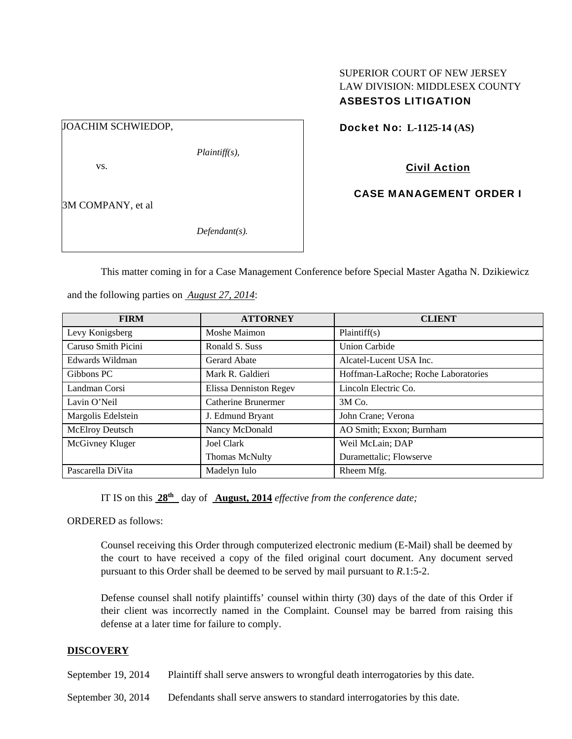# SUPERIOR COURT OF NEW JERSEY LAW DIVISION: MIDDLESEX COUNTY ASBESTOS LITIGATION

| JOACHIM SCHWIEDOP, |                  |
|--------------------|------------------|
|                    | $Plaintiff(s)$ , |
| VS.                |                  |
|                    |                  |
| 3M COMPANY, et al  |                  |
|                    | $Defendant(s)$ . |
|                    |                  |

Docket No: **L-1125-14 (AS)** 

Civil Action

CASE MANAGEMENT ORDER I

This matter coming in for a Case Management Conference before Special Master Agatha N. Dzikiewicz

| <b>FIRM</b>         | <b>ATTORNEY</b>               | <b>CLIENT</b>                       |
|---------------------|-------------------------------|-------------------------------------|
| Levy Konigsberg     | Moshe Maimon                  | Plaintiff(s)                        |
| Caruso Smith Picini | Ronald S. Suss                | Union Carbide                       |
| Edwards Wildman     | Gerard Abate                  | Alcatel-Lucent USA Inc.             |
| Gibbons PC          | Mark R. Galdieri              | Hoffman-LaRoche; Roche Laboratories |
| Landman Corsi       | <b>Elissa Denniston Regev</b> | Lincoln Electric Co.                |
| Lavin O'Neil        | Catherine Brunermer           | 3M Co.                              |
| Margolis Edelstein  | J. Edmund Bryant              | John Crane; Verona                  |
| McElroy Deutsch     | Nancy McDonald                | AO Smith; Exxon; Burnham            |
| McGivney Kluger     | Joel Clark                    | Weil McLain; DAP                    |
|                     | <b>Thomas McNulty</b>         | Duramettalic; Flowserve             |
| Pascarella DiVita   | Madelyn Iulo                  | Rheem Mfg.                          |

and the following parties on *August 27, 2014*:

IT IS on this  $28<sup>th</sup>$  day of **August, 2014** *effective from the conference date;* 

ORDERED as follows:

Counsel receiving this Order through computerized electronic medium (E-Mail) shall be deemed by the court to have received a copy of the filed original court document. Any document served pursuant to this Order shall be deemed to be served by mail pursuant to *R*.1:5-2.

Defense counsel shall notify plaintiffs' counsel within thirty (30) days of the date of this Order if their client was incorrectly named in the Complaint. Counsel may be barred from raising this defense at a later time for failure to comply.

# **DISCOVERY**

September 19, 2014 Plaintiff shall serve answers to wrongful death interrogatories by this date.

September 30, 2014 Defendants shall serve answers to standard interrogatories by this date.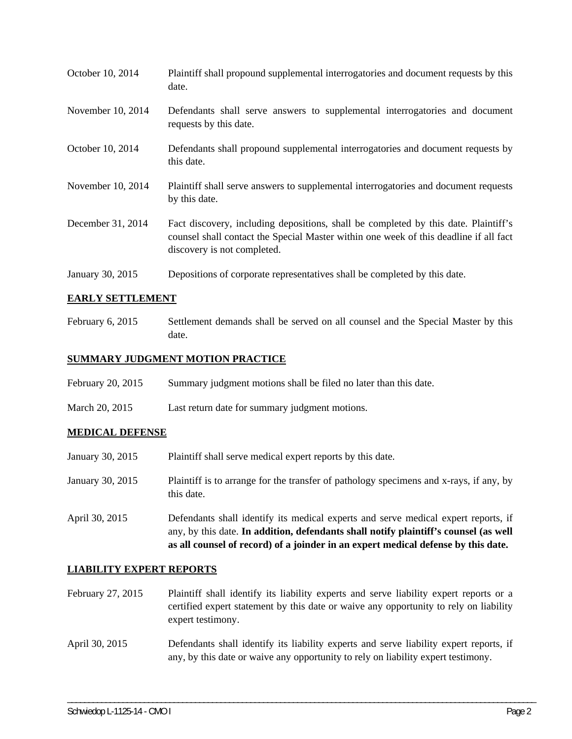| October 10, 2014  | Plaintiff shall propound supplemental interrogatories and document requests by this<br>date.                                                                                                                |
|-------------------|-------------------------------------------------------------------------------------------------------------------------------------------------------------------------------------------------------------|
| November 10, 2014 | Defendants shall serve answers to supplemental interrogatories and document<br>requests by this date.                                                                                                       |
| October 10, 2014  | Defendants shall propound supplemental interrogatories and document requests by<br>this date.                                                                                                               |
| November 10, 2014 | Plaintiff shall serve answers to supplemental interrogatories and document requests<br>by this date.                                                                                                        |
| December 31, 2014 | Fact discovery, including depositions, shall be completed by this date. Plaintiff's<br>counsel shall contact the Special Master within one week of this deadline if all fact<br>discovery is not completed. |
| January 30, 2015  | Depositions of corporate representatives shall be completed by this date.                                                                                                                                   |

# **EARLY SETTLEMENT**

February 6, 2015 Settlement demands shall be served on all counsel and the Special Master by this date.

# **SUMMARY JUDGMENT MOTION PRACTICE**

| February 20, 2015 | Summary judgment motions shall be filed no later than this date. |
|-------------------|------------------------------------------------------------------|
|-------------------|------------------------------------------------------------------|

March 20, 2015 Last return date for summary judgment motions.

#### **MEDICAL DEFENSE**

- January 30, 2015 Plaintiff shall serve medical expert reports by this date. January 30, 2015 Plaintiff is to arrange for the transfer of pathology specimens and x-rays, if any, by this date. April 30, 2015 Defendants shall identify its medical experts and serve medical expert reports, if
- any, by this date. **In addition, defendants shall notify plaintiff's counsel (as well as all counsel of record) of a joinder in an expert medical defense by this date.**

## **LIABILITY EXPERT REPORTS**

- February 27, 2015 Plaintiff shall identify its liability experts and serve liability expert reports or a certified expert statement by this date or waive any opportunity to rely on liability expert testimony.
- April 30, 2015 Defendants shall identify its liability experts and serve liability expert reports, if any, by this date or waive any opportunity to rely on liability expert testimony.

\_\_\_\_\_\_\_\_\_\_\_\_\_\_\_\_\_\_\_\_\_\_\_\_\_\_\_\_\_\_\_\_\_\_\_\_\_\_\_\_\_\_\_\_\_\_\_\_\_\_\_\_\_\_\_\_\_\_\_\_\_\_\_\_\_\_\_\_\_\_\_\_\_\_\_\_\_\_\_\_\_\_\_\_\_\_\_\_\_\_\_\_\_\_\_\_\_\_\_\_\_\_\_\_\_\_\_\_\_\_